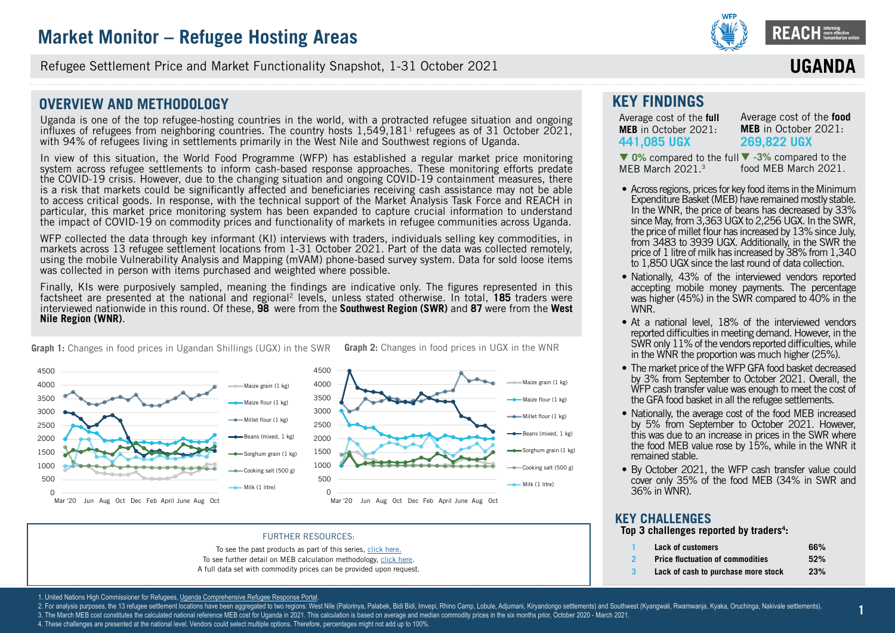

**ssssssss** Refugee Settlement Price and Market Functionality Snapshot, 1-31 October 2021

### **OVERVIEW AND METHODOLOGY**

Uganda is one of the top refugee-hosting countries in the world, with a protracted refugee situation and ongoing influxes of refugees from neighboring countries. The country hosts  $1.549,181<sup>1</sup>$  refugees as of 31 October 2021, with 94% of refugees living in settlements primarily in the West Nile and Southwest regions of Uganda.

In view of this situation, the World Food Programme (WFP) has established a regular market price monitoring system across refugee settlements to inform cash-based response approaches. These monitoring efforts predate the COVID-19 crisis. However, due to the changing situation and ongoing COVID-19 containment measures, there is a risk that markets could be significantly affected and beneficiaries receiving cash assistance may not be able to access critical goods. In response, with the technical support of the Market Analysis Task Force and REACH in particular, this market price monitoring system has been expanded to capture crucial information to understand the impact of COVID-19 on commodity prices and functionality of markets in refugee communities across Uganda.

WFP collected the data through key informant (KI) interviews with traders, individuals selling key commodities, in markets across 13 refugee settlement locations from 1-31 October 2021. Part of the data was collected remotely, using the mobile Vulnerability Analysis and Mapping (mVAM) phone-based survey system. Data for sold loose items was collected in person with items purchased and weighted where possible.

Finally, KIs were purposively sampled, meaning the findings are indicative only. The figures represented in this factsheet are presented at the national and regional2 levels, unless stated otherwise. In total, **[185](DBF_num_assessed_national)** traders were interviewed nationwide in this round. Of these, **[98](DBF_num_assessed_south west)** were from the **Southwest Region (SWR)** and **[87](DBF_num_assessed_west nile)** were from the **West Nile Region (WNR)**.

**Graph 1:** Changes in food prices in Ugandan Shillings (UGX) in the SWR **Graph 2:** Changes in food prices in UGX in the WNR





#### FURTHER RESOURCES:

To see the past products as part of this series, [click here.](https://www.reachresourcecentre.info/country/uganda/cycle/28791/#cycle-28791) To see further detail on MEB calculation methodology, [click here.](https://data2.unhcr.org/en/documents/details/77858) A full data set with commodity prices can be provided upon request.

### **KEY FINDINGS**

Average cost of the **full MEB** in October 2021: **[441,085](DBF_national_national_meb_full) UGX** 

Average cost of the **food MEB** in October 2021: **[269,822](DBF_national_national_meb_food) UGX**

**IIGAN** 

▼ 0% compared to the full ▼ [-3](DBF_national_national_meb_food_perct_march)% compared to the food MEB March 2021. MFB March 2021.<sup>3</sup>

- Across regions, prices for key food items in the Minimum Expenditure Basket (MEB) have remained mostly stable. In the WNR, the price of beans has decreased by 33% since May, from 3,363 UGX to 2,256 UGX. In the SWR, the price of millet flour has increased by 13% since July, from 3483 to 3939 UGX. Additionally, in the SWR the price of 1 litre of milk has increased by 38% from 1,340 to 1,850 UGX since the last round of data collection.
- Nationally, 43% of the interviewed vendors reported accepting mobile money payments. The percentage was higher (45%) in the SWR compared to 40% in the WNR.
- At a national level, 18% of the interviewed vendors reported difficulties in meeting demand. However, in the SWR only 11% of the vendors reported difficulties, while in the WNR the proportion was much higher (25%).
- The market price of the WFP GFA food basket decreased by 3% from September to October 2021. Overall, the WFP cash transfer value was enough to meet the cost of the GFA food basket in all the refugee settlements.
- Nationally, the average cost of the food MEB increased by 5% from September to October 2021. However, this was due to an increase in prices in the SWR where the food MEB value rose by 15%, while in the WNR it remained stable.
- By October 2021, the WFP cash transfer value could cover only 35% of the food MEB (34% in SWR and 36% in WNR).

### **KEY CHALLENGES**

**Top 3 challenges reported by traders<sup>4</sup> :**

- **1 [Lack of customers](DBF_dependent.var.value_uganda_challenge_1) [66%](DBF_numbers_uganda_challenge_1) 2 [Price fluctuation of commodities](DBF_dependent.var.value_uganda_challenge_2) [52%](DBF_numbers_uganda_challenge_2)**
- **3 [Lack of cash to purchase more stock](DBF_dependent.var.value_uganda_challenge_3) [23%](DBF_numbers_uganda_challenge_3)**

**1**

1. United Nations High Commissioner for Refugees, Uganda Comprehensive Refugee Response Portal

- 2. For analysis purposes, the 13 refugee settlement locations have been aggregated to two regions: West Nile (Palorinya, Palabek, Bidi Bidi, Imvepi, Rhino Camp, Lobule, Adjumani, Kiryandongo settlements) and Southwest (Kya
- 3. The March MEB cost constitutes the calculated national reference MEB cost for Uganda in 2021. This calculation is based on average and median commodity prices in the six months prior, October 2020 March 2021.
- 4. These challenges are presented at the national level. Vendors could select multiple options. Therefore, percentages might not add up to 100%.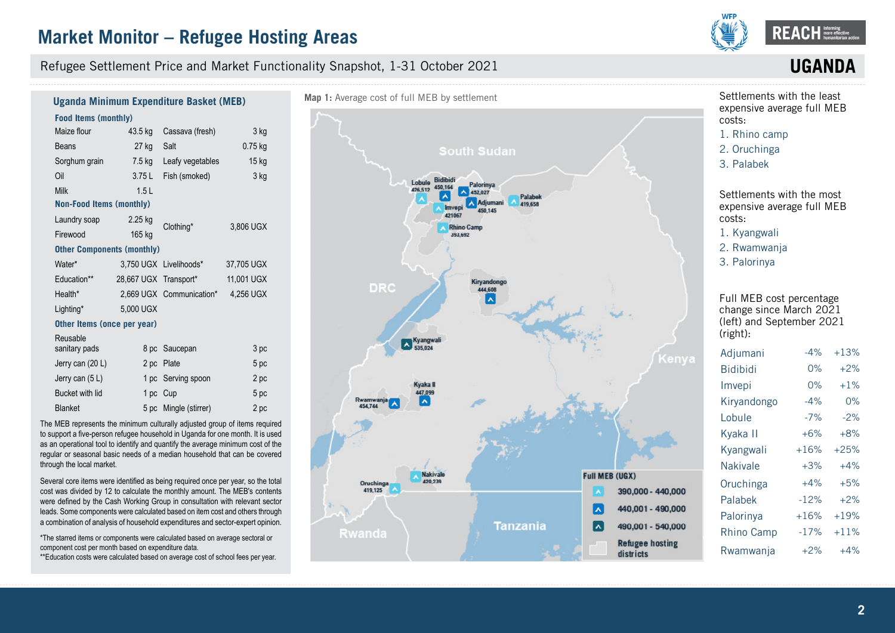

**UGAN** 

#### Refugee Settlement Price and Market Functionality Snapshot, 1-31 October 2021

3 kg

15 kg 3 kg

#### **Food Items (monthly)**  Maize flour Beans Sorghum grain Oil Milk 43.5 kg Cassava (fresh) 27 kg 7.5 kg 3.75 L 1.5 L Salt Leafy vegetables Fish (smoked) 0.75 kg **Non-Food Items (monthly) Uganda Minimum Expenditure Basket (MEB)**

| Laundry soap<br>Firewood          | 2.25 kg<br>165 kg     | Clothing*                | 3.806 UGX  |
|-----------------------------------|-----------------------|--------------------------|------------|
| <b>Other Components (monthly)</b> |                       |                          |            |
| Water*                            |                       | 3,750 UGX Livelihoods*   | 37.705 UGX |
| Education**                       | 28,667 UGX Transport* |                          | 11.001 UGX |
| Health*                           |                       | 2,669 UGX Communication* | 4.256 UGX  |
| Lighting*                         | 5,000 UGX             |                          |            |

#### **Other Items (once per year)**

| Reusable<br>sanitary pads | 8 pc Saucepan         | 3 pc |
|---------------------------|-----------------------|------|
| Jerry can (20 L)          | 2 pc Plate            | 5 pc |
| Jerry can $(5 L)$         | 1 pc Serving spoon    | 2 pc |
| Bucket with lid           | 1 pc Cup              | 5 pc |
| <b>Blanket</b>            | 5 pc Mingle (stirrer) | 2 pc |

The MEB represents the minimum culturally adjusted group of items required to support a five-person refugee household in Uganda for one month. It is used as an operational tool to identify and quantify the average minimum cost of the regular or seasonal basic needs of a median household that can be covered through the local market.

Several core items were identified as being required once per year, so the total cost was divided by 12 to calculate the monthly amount. The MEB's contents were defined by the Cash Working Group in consultation with relevant sector leads. Some components were calculated based on item cost and others through a combination of analysis of household expenditures and sector-expert opinion.

\*The starred items or components were calculated based on average sectoral or component cost per month based on expenditure data.

\*\*Education costs were calculated based on average cost of school fees per year.



#### Settlements with the least expensive average full MEB costs:

- 1. [Rhino camp](DBF_expansive_rank_13)
- 2. [Oruchinga](DBF_expansive_rank_12)
- 3. [Palabek](DBF_expansive_rank_11)

Settlements with the most expensive average full MEB costs:

- 1. [Kyangwali](DBF_expansive_rank_1)
- 2. [Rwamwanja](DBF_expansive_rank_2)
- 3. [Palorinya](DBF_expansive_rank_3)

Full MEB cost percentage change since March 2021 (left) and September 2021 (right):

| Adjumani          | $-4%$  | $+13%$ |
|-------------------|--------|--------|
| <b>Bidibidi</b>   | $0\%$  | $+2%$  |
| Imvepi            | 0%     | $+1\%$ |
| Kiryandongo       | -4%    | 0%     |
| Lobule            | $-7%$  | $-2%$  |
| Kyaka II          | $+6%$  | $+8%$  |
| Kyangwali         | $+16%$ | $+25%$ |
| <b>Nakivale</b>   | $+3%$  | $+4%$  |
| Oruchinga         | $+4%$  | $+5%$  |
| Palabek           | $-12%$ | $+2%$  |
| Palorinya         | $+16%$ | $+19%$ |
| <b>Rhino Camp</b> | $-17%$ | $+11%$ |
| Rwamwanja         | $+2%$  | $+4%$  |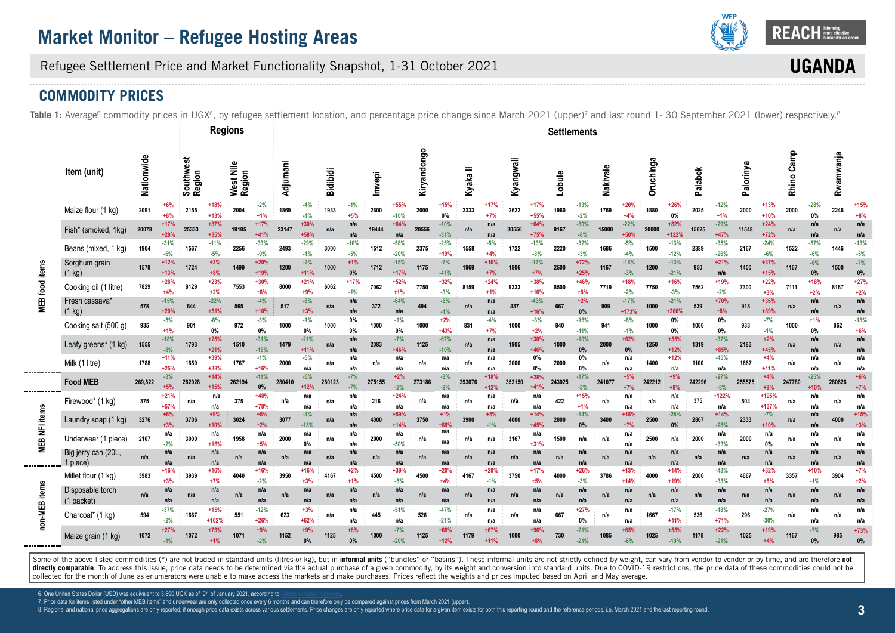

**UGAN** 

### Refugee Settlement Price and Market Functionality Snapshot, 1-31 October 2021

### **COMMODITY PRICES**

Table 1: Average<sup>6</sup> commodity prices in UGX<sup>6</sup>, by refugee settlement location, and percentage price change since March 2021 (upper)<sup>7</sup> and last round 1-30 September 2021 (lower) respectively.<sup>8</sup>

|              |                                    |            |                  |                     |                  | <b>Regions</b>      |                  |          |                  |                 |                 |        |                  |             |                  |          |                  |           |                  | <b>Settlements</b> |                  |          |                  |           |                   |         |                  |           |                  |            |                  |           |                 |
|--------------|------------------------------------|------------|------------------|---------------------|------------------|---------------------|------------------|----------|------------------|-----------------|-----------------|--------|------------------|-------------|------------------|----------|------------------|-----------|------------------|--------------------|------------------|----------|------------------|-----------|-------------------|---------|------------------|-----------|------------------|------------|------------------|-----------|-----------------|
|              | Item (unit)                        | Nationwide |                  | Southwest<br>Region |                  | West Nile<br>Region |                  | Adjumani |                  | <b>Bidibidi</b> |                 | Imvepi |                  | Kiryandongo |                  | Kyaka II |                  | Kyangwali |                  | Lobule             |                  | Nakivale |                  | Oruchinga |                   | Palabek |                  | Palorinya |                  | Rhino Camp |                  | Rwamwanja |                 |
|              | Maize flour (1 kg)                 | 2091       | +6%<br>$+8%$     | 2155                | +18%<br>$+13%$   | 2004                | $-2%$<br>$+1%$   | 1869     | -4%<br>$-1%$     | 1933            | $-1%$<br>$+5%$  | 2600   | +55%<br>$-10%$   | 2000        | $+15%$<br>0%     | 2333     | +17%<br>$+7%$    | 2622      | +17%<br>$+55%$   | 1960               | $-13%$<br>$-2%$  | 1769     | $+20%$<br>$+4%$  | 1880      | $+26%$<br>0%      | 2025    | $-12%$<br>$+1%$  | 2000      | $+13%$<br>$+10%$ | 2000       | $-28%$<br>0%     | 2246      | $+15%$<br>+8%   |
|              | Fish* (smoked, 1kg)                | 20078      | $+17%$<br>$+28%$ | 25333               | $+37%$<br>$+35%$ | 19105               | $+17%$<br>$+41%$ | 23147    | $+30%$<br>+58%   | n/a             | n/a<br>n/a      | 19444  | $+64%$<br>n/a    | 20556       | $-10%$<br>$-31%$ | n/a      | n/a<br>n/a       | 30556     | $+64%$<br>$+75%$ | 9167               | $-30%$<br>$-8%$  | 15000    | $-22%$<br>$+50%$ | 20000     | $+82%$<br>$+122%$ | 15625   | $-29%$<br>$+47%$ | 11548     | $+24%$<br>$+72%$ | n/a        | n/a<br>n/a       | n/a       | n/a<br>n/a      |
|              | Beans (mixed, 1 kg)                | 1904       | $-31%$<br>$-6%$  | 1567                | $-11%$<br>$-5%$  | 2256                | $-33%$<br>$-9%$  | 2493     | $-29%$<br>$-1%$  | 3000            | $-10%$<br>$-5%$ | 1512   | $-58%$<br>$-20%$ | 2375        | $-25%$<br>$+19%$ | 1558     | $-5%$<br>$+4%$   | 1722      | $-13%$<br>$-8%$  | 2220               | $-32%$<br>$-3%$  | 1686     | $-5%$<br>$-4%$   | 1500      | $-13%$<br>$-12%$  | 2389    | $-35%$<br>$-26%$ | 2167      | $-24%$<br>$-6%$  | 1522       | $-57%$<br>$-6%$  | 1446      | $-13%$<br>$-5%$ |
| <b>items</b> | Sorghum grain<br>$(1$ kg)          | 1579       | +12%<br>$+13%$   | 1724                | $+3%$<br>$+8%$   | 1499                | $+20%$<br>+19%   | 1200     | $-2%$<br>$+11%$  | 1000            | $+1%$<br>0%     | 1712   | $-15%$<br>$+17%$ | 1175        | $-7%$<br>$-41%$  | 1969     | $+10%$<br>$+7%$  | 1806      | $-17%$<br>$+7%$  | 2500               | $+72%$<br>$+25%$ | 1167     | $-18%$<br>$-3%$  | 1200      | $-13%$<br>$-21%$  | 950     | $+21%$<br>n/a    | 1400      | $+37%$<br>$+15%$ | 1167       | $-6%$<br>$0\%$   | 1500      | $-7%$<br>0%     |
| food         | Cooking oil (1 litre)              | 7829       | +28%<br>$+4%$    | 8129                | $+23%$<br>$+2%$  | 7553                | $+30%$<br>$+8%$  | 8000     | $+21%$<br>$+9%$  | 6062            | $+17%$<br>$-1%$ | 7062   | $+52%$<br>$+1%$  | 7750        | $+32%$<br>$-3%$  | 8159     | $+24%$<br>$+1%$  | 9333      | +38%<br>$+16%$   | 8500               | $+46%$<br>$+8%$  | 7719     | $+18%$<br>$-2%$  | 7750      | $+16%$<br>$-3%$   | 7562    | +19%<br>$-2%$    | 7300      | $+22%$<br>$+3%$  | 7111       | $+18%$<br>$+2%$  | 8167      | $+27%$<br>$+2%$ |
| MEB          | Fresh cassava*<br>$(1 \text{ kg})$ | 578        | $-15%$<br>$+20%$ | 644                 | $-22%$<br>$+51%$ | 565                 | $-4%$<br>$+10%$  | 517      | $-8%$<br>$+3%$   | n/a             | n/a<br>n/a      | 372    | $-64%$<br>n/a    | 494         | $-6%$<br>$-1%$   | n/a      | n/a<br>n/a       | 437       | $-43%$<br>$+16%$ | 667                | $+2%$<br>0%      | 909      | $-17%$<br>+173%  | 1000      | $-21%$<br>+200%   | 539     | +70%<br>$+8%$    | 918       | +36%<br>+89%     | n/a        | n/a<br>n/a       | n/a       | n/a<br>n/a      |
|              | Cooking salt (500 g)               | 935        | $-5%$<br>$+1%$   | 901                 | $-8%$<br>$0\%$   | 972                 | $-3%$<br>0%      | 1000     | $-1%$<br>0%      | 1000            | 0%<br>0%        | 1000   | $-1%$<br>$0\%$   | 1000        | $+2%$<br>$+43%$  | 831      | $-4%$<br>$+7%$   | 1000      | $-3%$<br>$+2%$   | 840                | $-16%$<br>$-11%$ | 941      | $-6%$<br>$-1%$   | 1000      | 0%<br>0%          | 1000    | 0%<br>0%         | 933       | $-7%$<br>$-1%$   | 1000       | $+1%$<br>$0\%$   | 862       | $-13%$<br>$+6%$ |
|              | Leafy greens* (1 kg)               | 1555       | $-18%$<br>$-8%$  | 1793                | $+25%$<br>$+21%$ | 1510                | $-31%$<br>$-16%$ | 1479     | $-21%$<br>$+11%$ | n/a             | n/a<br>n/a      | 2083   | $-7%$<br>$+46%$  | 1125        | $-67%$<br>$-10%$ | n/a      | n/a<br>n/a       | 1905      | $+30%$<br>+46%   | 1000               | $-10%$<br>0%     | 2000     | $+62%$<br>0%     | 1250      | $+55%$<br>$+12%$  | 1319    | $-37%$<br>$+85%$ | 2183      | $+2%$<br>$+45%$  | n/a        | n/a<br>n/a       | n/a       | n/a<br>n/a      |
|              | Milk (1 litre)                     | 1788       | $+11%$<br>$+25%$ | 1850                | $+39%$<br>+38%   | 1767                | $-1%$<br>$+16%$  | 2000     | $-5%$<br>n/a     | n/a             | n/a<br>n/a      | n/a    | n/a<br>n/a       | n/a         | n/a<br>n/a       | n/a      | n/a<br>n/a       | 2000      | 0%<br>0%         | 2000               | 0%<br>0%         | n/a      | n/a<br>n/a       | 1400      | $+12%$<br>n/a     | 1100    | $-45%$<br>n/a    | 1667      | $+4%$<br>$+11%$  | n/a        | n/a<br>n/a       | n/a       | n/a<br>n/a      |
|              | <b>Food MEB</b>                    | 269,822    | $-3%$<br>$+5%$   | 282028              | $+14%$<br>$+15%$ | 262194              | $-11%$<br>0%     | 280410   | $-5%$<br>$+12%$  | 280123          | $-7%$<br>$-7%$  | 275155 | $+2%$<br>$-2%$   | 273186      | $-8%$<br>$-9%$   | 293076   | +18%<br>$+12%$   | 353150    | $+28%$<br>$+41%$ | 243025             | $-17%$<br>$-3%$  | 241077   | $+5%$            | 242212    | $+9%$<br>$+9%$    | 242296  | $-27%$<br>$-8%$  | 255575    | $+4%$<br>$+9%$   | 247780     | $-25%$<br>$+10%$ | 280626    | $+6%$<br>$+7%$  |
|              | Firewood* (1 kg)                   | 375        | +21%<br>$+57%$   | n/a                 | n/a<br>n/a       | 375                 | +48%<br>+78%     | n/a      | n/a<br>n/a       | n/a             | n/a<br>n/a      | 216    | +24%<br>n/a      | n/a         | n/a<br>n/a       | n/a      | n/a<br>n/a       | n/a       | n/a<br>n/a       | 422                | $+15%$<br>$+1%$  | n/a      | n/a<br>n/a       | n/a       | n/a<br>n/a        | 375     | +122%<br>n/a     | 504       | +195%<br>+137%   | n/a        | n/a<br>n/a       | n/a       | n/a<br>n/a      |
| NFI items    | Laundry soap (1 kg)                | 3276       | $+6%$<br>$+3%$   | 3706                | $+9%$<br>$+10%$  | 3024                | $+5%$<br>$+2%$   | 3077     | $-4%$<br>$-18%$  | n/a             | n/a<br>n/a      | 4000   | $+59%$<br>$+149$ | 3750        | $+1%$<br>+88%    | 3900     | $+5%$<br>$-1%$   | 4000      | $+14%$<br>+45%   | 2000               | $-14%$<br>0%     | 3400     | $+18%$<br>$+7%$  | 2500      | $-28%$<br>0%      | 2867    | $+14%$<br>$-28%$ | 2333      | $-7%$<br>$+109$  | n/a        | n/a<br>n/a       | 4000      | $+15%$<br>$+3%$ |
| ⊞            | Underwear (1 piece)                | 2107       | n/a<br>$-2%$     | 3000                | n/a<br>$+16%$    | 1958                | n/a<br>$+5%$     | 2000     | n/a<br>0%        | n/a             | n/a<br>n/a      | 2000   | n/a<br>$-50%$    | n/a         | n/a<br>n/a       | n/a      | n/a              | 3167      | n/a<br>$+31%$    | 1500               | n/a              | n/a      | n/a<br>n/a       | 2500      | n/a               | 2000    | n/a<br>$-33%$    | 2000      | n/a<br>0%        | n/a        | n/a<br>n/a       | n/a       | n/a<br>n/a      |
| Σ            | Big jerry can (20L,<br>1 piece)    | n/a        | n/a<br>n/a       | n/a                 | n/a<br>n/a       | n/a                 | n/a<br>n/a       | n/a      | n/a<br>n/a       | n/a             | n/a<br>n/a      | n/a    | n/a<br>n/a       | n/a         | n/a<br>n/a       | n/a      | n/a<br>n/a       | n/a       | n/a<br>n/a       | n/a                | n/a<br>n/a       | n/a      | n/a<br>n/a       | n/a       | n/a<br>n/a        | n/a     | n/a<br>n/a       | n/a       | n/a<br>n/a       | n/a        | n/a<br>n/a       | n/a       | n/a<br>n/a      |
|              | Millet flour (1 kg)                | 3983       | +16%<br>$+3%$    | 3939                | $+16%$<br>$+7%$  | 4040                | $+16%$<br>$-2%$  | 3950     | $+16%$<br>$+3%$  | 4167            | $+2%$<br>$+1%$  | 4500   | +39%<br>$-5%$    | 4500        | $+20%$<br>$+4%$  | 4167     | $+29%$<br>$-1%$  | 3750      | $+17%$<br>$+5%$  | 4000               | $+26%$<br>$-3%$  | 3786     | $+13%$<br>$+14%$ | 4000      | $+14%$<br>$+19%$  | 2000    | $-43%$<br>$-33%$ | 4667      | $+32%$<br>$+8%$  | 3357       | $+10%$<br>$-1%$  | 3904      | $+7%$<br>$+2%$  |
| items        | Disposable torch<br>(1 packet)     | n/a        | n/a<br>n/a       | n/a                 | n/a<br>n/a       | n/a                 | n/a<br>n/a       | n/a      | n/a<br>n/a       | n/a             | n/a<br>n/a      | n/a    | n/a<br>n/a       | n/a         | n/a<br>n/a       | n/a      | n/a<br>n/a       | n/a       | n/a<br>n/a       | n/a                | n/a<br>n/a       | n/a      | n/a<br>n/a       | n/a       | n/a<br>n/a        | n/a     | n/a<br>n/a       | n/a       | n/a<br>n/a       | n/a        | n/a<br>n/a       | n/a       | n/a<br>n/a      |
| non-MEB      | Charcoal* (1 kg)                   | 594        | $-37%$<br>$-2%$  | 1667                | $+15%$<br>+102%  | 551                 | $-12%$<br>$+26%$ | 623      | $+3%$<br>$+62%$  | n/a             | n/a<br>n/a      | 445    | $-51%$<br>n/a    | 526         | -47%<br>$-21%$   | n/a      | n/a<br>n/a       | n/a       | n/a<br>n/a       | 667                | $+27%$<br>$0\%$  | n/a      | n/a<br>n/a       | 1667      | $-17%$<br>$+11%$  | 536     | $-18%$<br>$+71%$ | 296       | $-27%$<br>$-30%$ | n/a        | n/a<br>n/a       | n/a       | n/a<br>n/a      |
|              | Maize grain (1 kg)                 | 1072       | $+27%$<br>$-1%$  | 1072                | $+73%$<br>$+1%$  | 1071                | $+9%$<br>$-2%$   | 1152     | $+9%$<br>$0\%$   | 1125            | $+8%$<br>0%     | 1000   | $-7%$<br>$-20%$  | 1125        | +68%<br>$+12%$   | 1179     | $+67%$<br>$+11%$ | 1000      | +96%<br>$+8%$    | 730                | $-21%$<br>$-21%$ | 1085     | $+65%$<br>$-6%$  | 1025      | $+55%$<br>$-19%$  | 1178    | $+22%$<br>$-21%$ | 1025      | $+19%$<br>$+4%$  | 1167       | $-7%$<br>0%      | 985       | $+73%$          |

Some of the above listed commodities (\*) are not traded in standard units (litres or kg), but in informal units ("bundles" or "basins"). These informal units are not strictly defined by weight, can vary from vendor to vend directly comparable. To address this issue, price data needs to be determined via the actual purchase of a given commodity, by its weight and conversion into standard units. Due to COVID-19 restrictions, the price data of collected for the month of June as enumerators were unable to make access the markets and make purchases. Prices reflect the weights and prices imputed based on April and May average.

6. One United States Dollar (USD) was equivalent to 3,690 UGX as of 9th of January 2021, according to

7. Price data for items listed under "other MEB items" and underwear are only collected once every 6 months and can therefore only be compared against prices from March 2021 (upper).

8. Regional and national price aggregations are only reported, if enough price data exists across various settlements. Price changes are only reported where price data for a given item exists for both this reporting round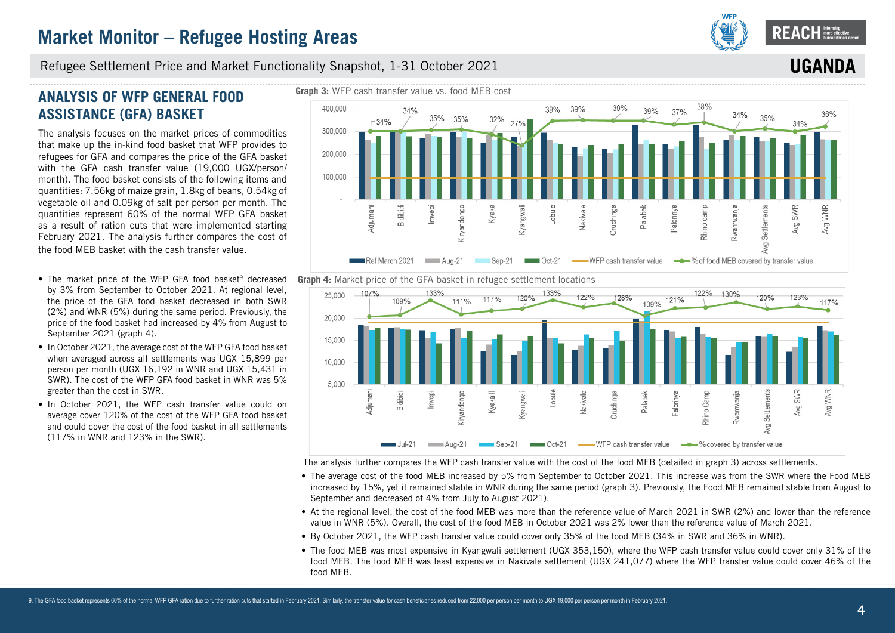

**IIGA** 

#### Refugee Settlement Price and Market Functionality Snapshot, 1-31 October 2021

## **ANALYSIS OF WFP GENERAL FOOD ASSISTANCE (GFA) BASKET**

The analysis focuses on the market prices of commodities that make up the in-kind food basket that WFP provides to refugees for GFA and compares the price of the GFA basket with the GFA cash transfer value (19,000 UGX/person/ month). The food basket consists of the following items and quantities: 7.56kg of maize grain, 1.8kg of beans, 0.54kg of vegetable oil and 0.09kg of salt per person per month. The quantities represent 60% of the normal WFP GFA basket as a result of ration cuts that were implemented starting February 2021. The analysis further compares the cost of the food MEB basket with the cash transfer value.

- The market price of the WFP GFA food basket<sup>9</sup> decreased by 3% from September to October 2021. At regional level, the price of the GFA food basket decreased in both SWR (2%) and WNR (5%) during the same period. Previously, the price of the food basket had increased by 4% from August to September 2021 (graph 4).
- In October 2021, the average cost of the WFP GFA food basket when averaged across all settlements was UGX 15,899 per person per month (UGX 16,192 in WNR and UGX 15,431 in SWR). The cost of the WFP GFA food basket in WNR was 5% greater than the cost in SWR.
- In October 2021, the WFP cash transfer value could on average cover 120% of the cost of the WFP GFA food basket and could cover the cost of the food basket in all settlements (117% in WNR and 123% in the SWR).







The analysis further compares the WFP cash transfer value with the cost of the food MEB (detailed in graph 3) across settlements.

- The average cost of the food MEB increased by 5% from September to October 2021. This increase was from the SWR where the Food MEB increased by 15%, yet it remained stable in WNR during the same period (graph 3). Previously, the Food MEB remained stable from August to September and decreased of 4% from July to August 2021).
- At the regional level, the cost of the food MEB was more than the reference value of March 2021 in SWR (2%) and lower than the reference value in WNR (5%). Overall, the cost of the food MEB in October 2021 was 2% lower than the reference value of March 2021.
- By October 2021, the WFP cash transfer value could cover only 35% of the food MEB (34% in SWR and 36% in WNR).
- The food MEB was most expensive in Kyangwali settlement (UGX 353,150), where the WFP cash transfer value could cover only 31% of the food MEB. The food MEB was least expensive in Nakivale settlement (UGX 241,077) where the WFP transfer value could cover 46% of the food MEB.